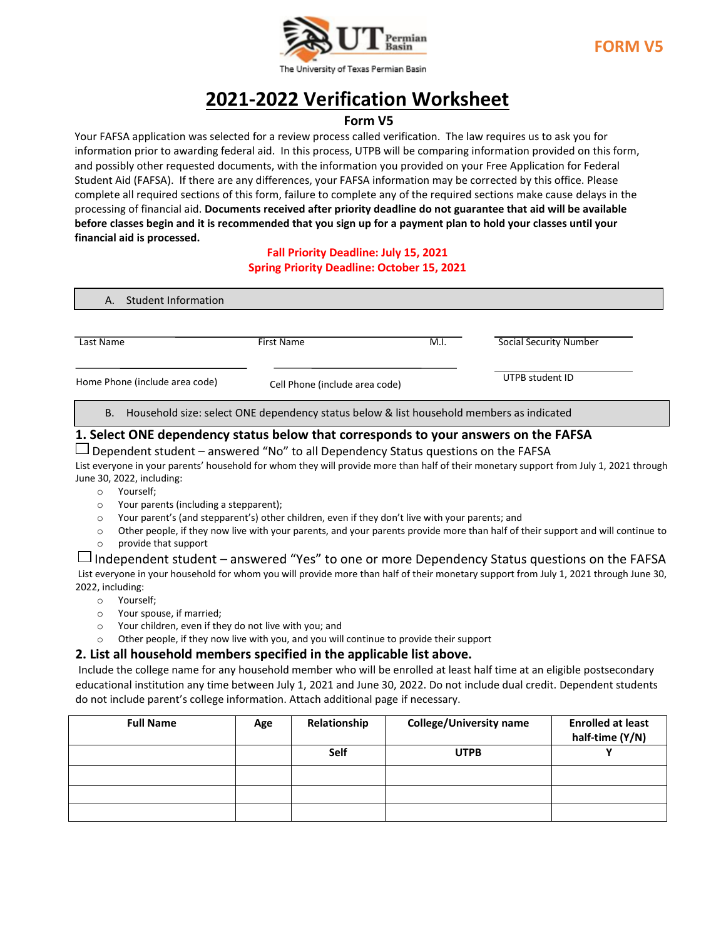

# **2021-2022 Verification Worksheet**

## **Form V5**

Your FAFSA application was selected for a review process called verification. The law requires us to ask you for information prior to awarding federal aid. In this process, UTPB will be comparing information provided on this form, and possibly other requested documents, with the information you provided on your Free Application for Federal Student Aid (FAFSA). If there are any differences, your FAFSA information may be corrected by this office. Please complete all required sections of this form, failure to complete any of the required sections make cause delays in the processing of financial aid. **Documents received after priority deadline do not guarantee that aid will be available before classes begin and it is recommended that you sign up for a payment plan to hold your classes until your financial aid is processed.**

#### **Fall Priority Deadline: July 15, 2021 Spring Priority Deadline: October 15, 2021**

| Student Information<br>Α.      |                                                                                          |      |                        |  |
|--------------------------------|------------------------------------------------------------------------------------------|------|------------------------|--|
| Last Name                      | <b>First Name</b>                                                                        | M.I. | Social Security Number |  |
| Home Phone (include area code) | Cell Phone (include area code)                                                           |      | UTPB student ID        |  |
| В.                             | Household size: select ONE dependency status below & list household members as indicated |      |                        |  |

#### **1. Select ONE dependency status below that corresponds to your answers on the FAFSA**

 $\Box$  Dependent student – answered "No" to all Dependency Status questions on the FAFSA

List everyone in your parents' household for whom they will provide more than half of their monetary support from July 1, 2021 through June 30, 2022, including:

- o Yourself;
- o Your parents (including a stepparent);
- o Your parent's (and stepparent's) other children, even if they don't live with your parents; and
- $\circ$  Other people, if they now live with your parents, and your parents provide more than half of their support and will continue to
- o provide that support

## $\Box$  Independent student – answered "Yes" to one or more Dependency Status questions on the FAFSA

List everyone in your household for whom you will provide more than half of their monetary support from July 1, 2021 through June 30, 2022, including:

- o Yourself;
- o Your spouse, if married;
- o Your children, even if they do not live with you; and
- o Other people, if they now live with you, and you will continue to provide their support

#### **2. List all household members specified in the applicable list above.**

Include the college name for any household member who will be enrolled at least half time at an eligible postsecondary educational institution any time between July 1, 2021 and June 30, 2022. Do not include dual credit. Dependent students do not include parent's college information. Attach additional page if necessary.

| <b>Full Name</b> | Age | Relationship | <b>College/University name</b> | <b>Enrolled at least</b><br>half-time (Y/N) |
|------------------|-----|--------------|--------------------------------|---------------------------------------------|
|                  |     | Self         | <b>UTPB</b>                    |                                             |
|                  |     |              |                                |                                             |
|                  |     |              |                                |                                             |
|                  |     |              |                                |                                             |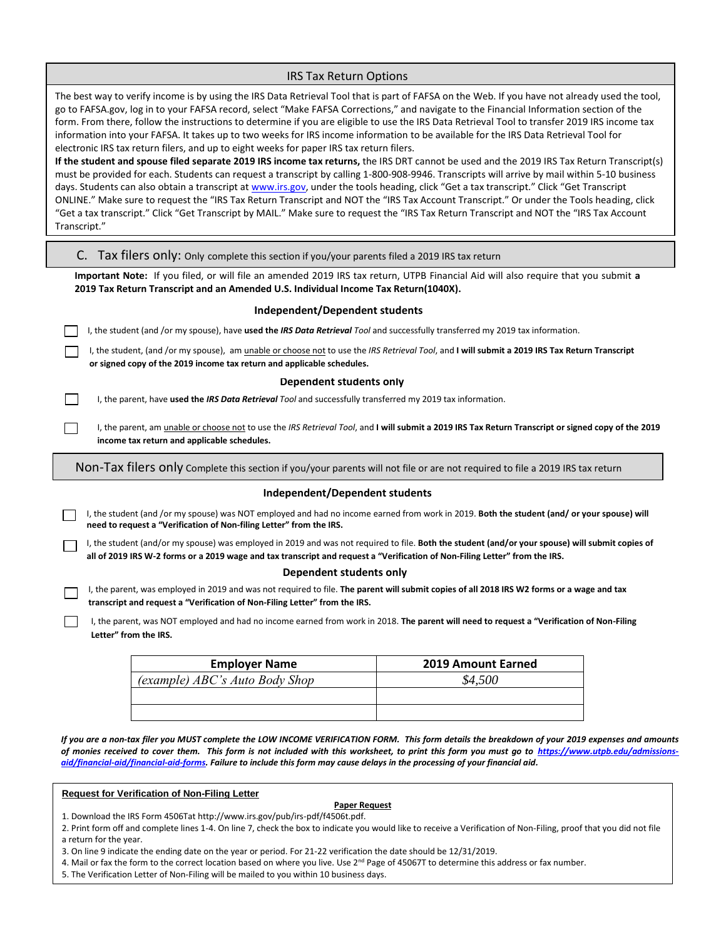| <b>IRS Tax Return Options</b>                                                                                                                                                                                                                                                                                                                                                                                                                                                                                                                                                                                                                                                                                                                                                                                                |                           |  |  |  |  |
|------------------------------------------------------------------------------------------------------------------------------------------------------------------------------------------------------------------------------------------------------------------------------------------------------------------------------------------------------------------------------------------------------------------------------------------------------------------------------------------------------------------------------------------------------------------------------------------------------------------------------------------------------------------------------------------------------------------------------------------------------------------------------------------------------------------------------|---------------------------|--|--|--|--|
| The best way to verify income is by using the IRS Data Retrieval Tool that is part of FAFSA on the Web. If you have not already used the tool,<br>go to FAFSA.gov, log in to your FAFSA record, select "Make FAFSA Corrections," and navigate to the Financial Information section of the<br>form. From there, follow the instructions to determine if you are eligible to use the IRS Data Retrieval Tool to transfer 2019 IRS income tax<br>information into your FAFSA. It takes up to two weeks for IRS income information to be available for the IRS Data Retrieval Tool for<br>electronic IRS tax return filers, and up to eight weeks for paper IRS tax return filers.<br>If the student and spouse filed separate 2019 IRS income tax returns, the IRS DRT cannot be used and the 2019 IRS Tax Return Transcript(s) |                           |  |  |  |  |
| must be provided for each. Students can request a transcript by calling 1-800-908-9946. Transcripts will arrive by mail within 5-10 business<br>days. Students can also obtain a transcript at www.irs.gov, under the tools heading, click "Get a tax transcript." Click "Get Transcript<br>ONLINE." Make sure to request the "IRS Tax Return Transcript and NOT the "IRS Tax Account Transcript." Or under the Tools heading, click<br>"Get a tax transcript." Click "Get Transcript by MAIL." Make sure to request the "IRS Tax Return Transcript and NOT the "IRS Tax Account<br>Transcript."                                                                                                                                                                                                                             |                           |  |  |  |  |
| C. Tax filers only: Only complete this section if you/your parents filed a 2019 IRS tax return                                                                                                                                                                                                                                                                                                                                                                                                                                                                                                                                                                                                                                                                                                                               |                           |  |  |  |  |
| Important Note: If you filed, or will file an amended 2019 IRS tax return, UTPB Financial Aid will also require that you submit a<br>2019 Tax Return Transcript and an Amended U.S. Individual Income Tax Return(1040X).                                                                                                                                                                                                                                                                                                                                                                                                                                                                                                                                                                                                     |                           |  |  |  |  |
| Independent/Dependent students                                                                                                                                                                                                                                                                                                                                                                                                                                                                                                                                                                                                                                                                                                                                                                                               |                           |  |  |  |  |
| I, the student (and /or my spouse), have used the IRS Data Retrieval Tool and successfully transferred my 2019 tax information.                                                                                                                                                                                                                                                                                                                                                                                                                                                                                                                                                                                                                                                                                              |                           |  |  |  |  |
| I, the student, (and /or my spouse), am unable or choose not to use the IRS Retrieval Tool, and I will submit a 2019 IRS Tax Return Transcript<br>or signed copy of the 2019 income tax return and applicable schedules.                                                                                                                                                                                                                                                                                                                                                                                                                                                                                                                                                                                                     |                           |  |  |  |  |
| Dependent students only                                                                                                                                                                                                                                                                                                                                                                                                                                                                                                                                                                                                                                                                                                                                                                                                      |                           |  |  |  |  |
| I, the parent, have used the IRS Data Retrieval Tool and successfully transferred my 2019 tax information.                                                                                                                                                                                                                                                                                                                                                                                                                                                                                                                                                                                                                                                                                                                   |                           |  |  |  |  |
| I, the parent, am unable or choose not to use the IRS Retrieval Tool, and I will submit a 2019 IRS Tax Return Transcript or signed copy of the 2019<br>income tax return and applicable schedules.                                                                                                                                                                                                                                                                                                                                                                                                                                                                                                                                                                                                                           |                           |  |  |  |  |
| Non-Tax filers only Complete this section if you/your parents will not file or are not required to file a 2019 IRS tax return                                                                                                                                                                                                                                                                                                                                                                                                                                                                                                                                                                                                                                                                                                |                           |  |  |  |  |
| Independent/Dependent students                                                                                                                                                                                                                                                                                                                                                                                                                                                                                                                                                                                                                                                                                                                                                                                               |                           |  |  |  |  |
| I, the student (and /or my spouse) was NOT employed and had no income earned from work in 2019. Both the student (and/or your spouse) will<br>need to request a "Verification of Non-filing Letter" from the IRS.                                                                                                                                                                                                                                                                                                                                                                                                                                                                                                                                                                                                            |                           |  |  |  |  |
| I, the student (and/or my spouse) was employed in 2019 and was not required to file. Both the student (and/or your spouse) will submit copies of<br>all of 2019 IRS W-2 forms or a 2019 wage and tax transcript and request a "Verification of Non-Filing Letter" from the IRS.                                                                                                                                                                                                                                                                                                                                                                                                                                                                                                                                              |                           |  |  |  |  |
| Dependent students only<br>I, the parent, was employed in 2019 and was not required to file. The parent will submit copies of all 2018 IRS W2 forms or a wage and tax                                                                                                                                                                                                                                                                                                                                                                                                                                                                                                                                                                                                                                                        |                           |  |  |  |  |
| transcript and request a "Verification of Non-Filing Letter" from the IRS.                                                                                                                                                                                                                                                                                                                                                                                                                                                                                                                                                                                                                                                                                                                                                   |                           |  |  |  |  |
| I, the parent, was NOT employed and had no income earned from work in 2018. The parent will need to request a "Verification of Non-Filing<br>Letter" from the IRS.                                                                                                                                                                                                                                                                                                                                                                                                                                                                                                                                                                                                                                                           |                           |  |  |  |  |
| <b>Employer Name</b>                                                                                                                                                                                                                                                                                                                                                                                                                                                                                                                                                                                                                                                                                                                                                                                                         | <b>2019 Amount Earned</b> |  |  |  |  |
| (example) ABC's Auto Body Shop                                                                                                                                                                                                                                                                                                                                                                                                                                                                                                                                                                                                                                                                                                                                                                                               | \$4,500                   |  |  |  |  |
|                                                                                                                                                                                                                                                                                                                                                                                                                                                                                                                                                                                                                                                                                                                                                                                                                              |                           |  |  |  |  |
|                                                                                                                                                                                                                                                                                                                                                                                                                                                                                                                                                                                                                                                                                                                                                                                                                              |                           |  |  |  |  |
| If you are a non-tax filer you MUST complete the LOW INCOME VERIFICATION FORM. This form details the breakdown of your 2019 expenses and amounts<br>of monies received to cover them. This form is not included with this worksheet, to print this form you must go to https://www.utpb.edu/admissions-<br>aid/financial-aid/financial-aid-forms. Failure to include this form may cause delays in the processing of your financial aid.                                                                                                                                                                                                                                                                                                                                                                                     |                           |  |  |  |  |

#### **Request for Verification of Non-Filing Letter**

#### **Paper Request**

1. Download the IRS Form 4506Tat http://www.irs.gov/pub/irs-pdf/f4506t.pdf.

2. Print form off and complete lines 1-4. On line 7, check the box to indicate you would like to receive a Verification of Non-Filing, proof that you did not file a return for the year.

- 3. On line 9 indicate the ending date on the year or period. For 21-22 verification the date should be 12/31/2019.
- 4. Mail or fax the form to the correct location based on where you live. Use 2<sup>nd</sup> Page of 45067T to determine this address or fax number.
- 5. The Verification Letter of Non-Filing will be mailed to you within 10 business days.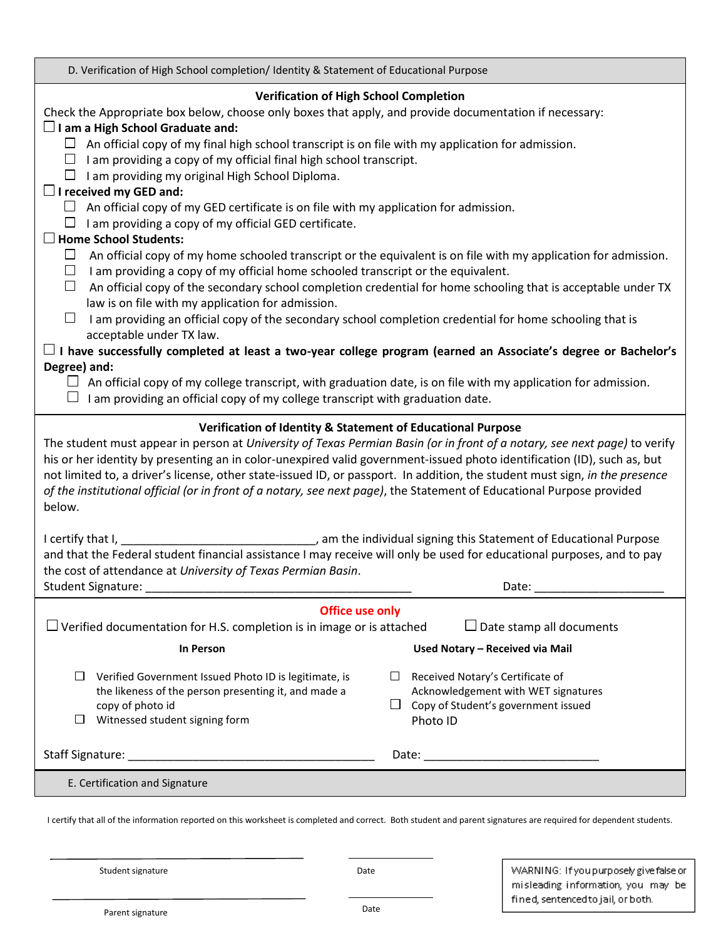| D. Verification of High School completion/ Identity & Statement of Educational Purpose                                                                                                                                                                                                                                                                                                                                                                                                                                                                                                                                                                                                                                                                                                               |                                                                                                                            |  |  |  |
|------------------------------------------------------------------------------------------------------------------------------------------------------------------------------------------------------------------------------------------------------------------------------------------------------------------------------------------------------------------------------------------------------------------------------------------------------------------------------------------------------------------------------------------------------------------------------------------------------------------------------------------------------------------------------------------------------------------------------------------------------------------------------------------------------|----------------------------------------------------------------------------------------------------------------------------|--|--|--|
| <b>Verification of High School Completion</b><br>Check the Appropriate box below, choose only boxes that apply, and provide documentation if necessary:<br>$\Box$ I am a High School Graduate and:<br>$\Box$ An official copy of my final high school transcript is on file with my application for admission.<br>$\Box$ I am providing a copy of my official final high school transcript.<br>I am providing my original High School Diploma.<br>$\Box$ I received my GED and:<br>An official copy of my GED certificate is on file with my application for admission.<br>⊔<br>$\Box$ I am providing a copy of my official GED certificate.<br>$\Box$ Home School Students:<br>⊔<br>An official copy of my home schooled transcript or the equivalent is on file with my application for admission. |                                                                                                                            |  |  |  |
| $\Box$<br>I am providing a copy of my official home schooled transcript or the equivalent.<br>An official copy of the secondary school completion credential for home schooling that is acceptable under TX<br>⊔<br>law is on file with my application for admission.<br>I am providing an official copy of the secondary school completion credential for home schooling that is<br>⊔<br>acceptable under TX law.<br>$\sqcup$ I have successfully completed at least a two-year college program (earned an Associate's degree or Bachelor's<br>Degree) and:<br>An official copy of my college transcript, with graduation date, is on file with my application for admission.<br>I am providing an official copy of my college transcript with graduation date.                                     |                                                                                                                            |  |  |  |
| Verification of Identity & Statement of Educational Purpose<br>The student must appear in person at University of Texas Permian Basin (or in front of a notary, see next page) to verify<br>his or her identity by presenting an in color-unexpired valid government-issued photo identification (ID), such as, but<br>not limited to, a driver's license, other state-issued ID, or passport. In addition, the student must sign, in the presence<br>of the institutional official (or in front of a notary, see next page), the Statement of Educational Purpose provided<br>below.                                                                                                                                                                                                                |                                                                                                                            |  |  |  |
| and that the Federal student financial assistance I may receive will only be used for educational purposes, and to pay<br>the cost of attendance at University of Texas Permian Basin.<br><b>Student Signature:</b><br>Date:                                                                                                                                                                                                                                                                                                                                                                                                                                                                                                                                                                         |                                                                                                                            |  |  |  |
| <b>Office use only</b><br>$\Box$ Verified documentation for H.S. completion is in image or is attached<br>$\Box$ Date stamp all documents<br><b>In Person</b><br>Used Notary - Received via Mail                                                                                                                                                                                                                                                                                                                                                                                                                                                                                                                                                                                                     |                                                                                                                            |  |  |  |
| $\Box$<br>Verified Government Issued Photo ID is legitimate, is<br>⊔<br>the likeness of the person presenting it, and made a<br>copy of photo id<br>ப<br>$\Box$<br>Witnessed student signing form                                                                                                                                                                                                                                                                                                                                                                                                                                                                                                                                                                                                    | Received Notary's Certificate of<br>Acknowledgement with WET signatures<br>Copy of Student's government issued<br>Photo ID |  |  |  |
|                                                                                                                                                                                                                                                                                                                                                                                                                                                                                                                                                                                                                                                                                                                                                                                                      |                                                                                                                            |  |  |  |
| E. Certification and Signature                                                                                                                                                                                                                                                                                                                                                                                                                                                                                                                                                                                                                                                                                                                                                                       |                                                                                                                            |  |  |  |
|                                                                                                                                                                                                                                                                                                                                                                                                                                                                                                                                                                                                                                                                                                                                                                                                      |                                                                                                                            |  |  |  |

I certify that all of the information reported on this worksheet is completed and correct. Both student and parent signatures are required for dependent students. P. Q. R.